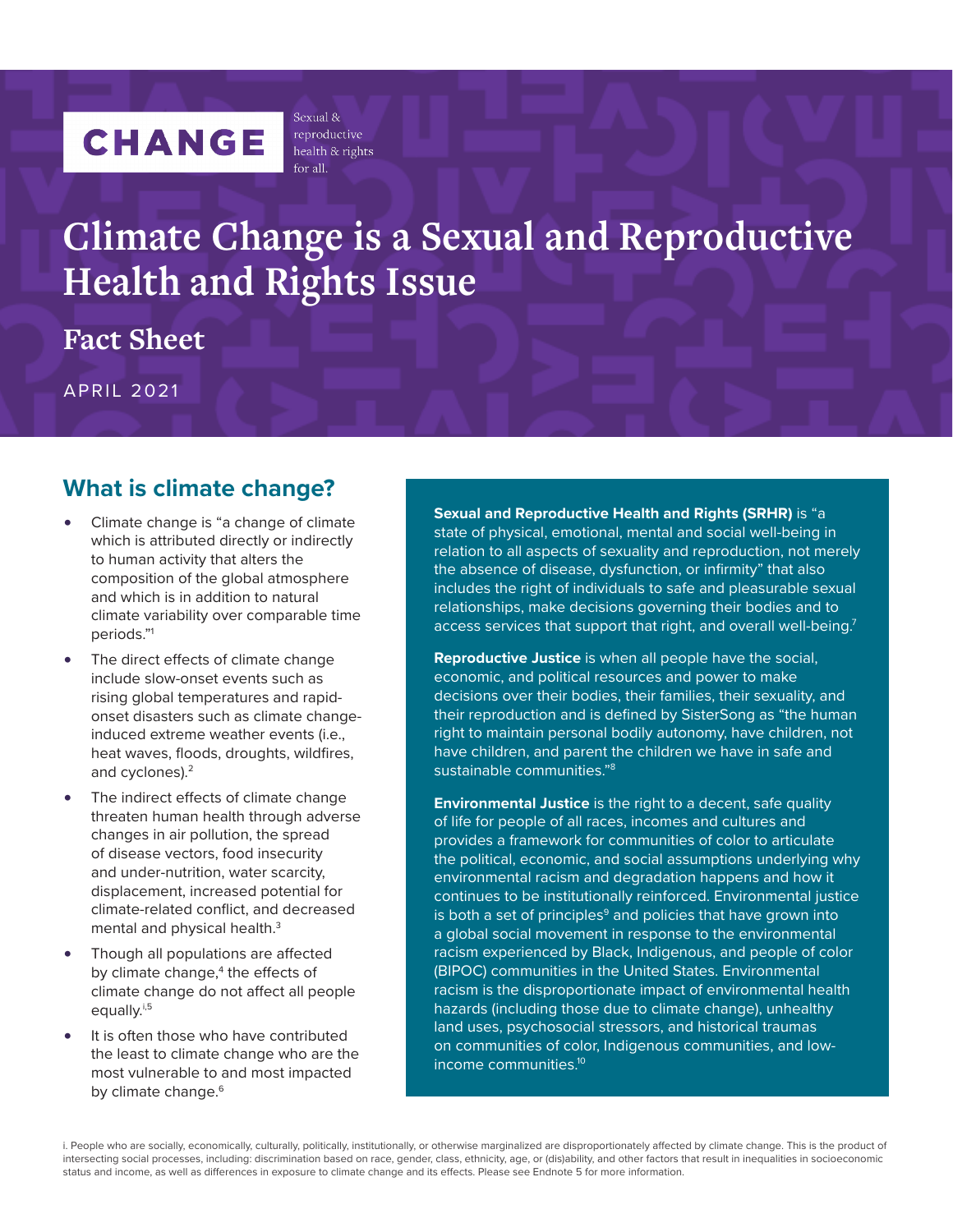# <span id="page-0-0"></span>**CHANGE**

reproductive health & rights  $for all$ 

Sexual &

# **Climate Change is a Sexual and Reproductive Health and Rights Issue**

**Fact Sheet**

APRIL 2021

# **What is climate change?**

- Climate change is "a change of climate which is attributed directly or indirectly to human activity that alters the composition of the global atmosphere and which is in addition to natural climate variability over comparable time periods."[1](#page-5-0)
- The direct effects of climate change include slow-onset events such as rising global temperatures and rapidonset disasters such as climate changeinduced extreme weather events (i.e., heat waves, floods, droughts, wildfires, and cyclones).[2](#page-5-0)
- The indirect effects of climate change threaten human health through adverse changes in air pollution, the spread of disease vectors, food insecurity and under-nutrition, water scarcity, displacement, increased potential for climate-related conflict, and decreased mental and physical health.<sup>3</sup>
- Though all populations are affected by climate change,<sup>[4](#page-5-0)</sup> the effects of climate change do not affect all people equally.<sup>[i,5](#page-5-0)</sup>
- It is often those who have contributed the least to climate change who are the most vulnerable to and most impacted by climate change.<sup>[6](#page-5-0)</sup>

**Sexual and Reproductive Health and Rights (SRHR)** is "a state of physical, emotional, mental and social well-being in relation to all aspects of sexuality and reproduction, not merely the absence of disease, dysfunction, or infirmity" that also includes the right of individuals to safe and pleasurable sexual relationships, make decisions governing their bodies and to access services that support that right, and overall well-being.<sup>7</sup>

**Reproductive Justice** is when all people have the social, economic, and political resources and power to make decisions over their bodies, their families, their sexuality, and their reproduction and is defined by SisterSong as "the human right to maintain personal bodily autonomy, have children, not have children, and parent the children we have in safe and sustainable communities.["8](#page-5-0)

**Environmental Justice** is the right to a decent, safe quality of life for people of all races, incomes and cultures and provides a framework for communities of color to articulate the political, economic, and social assumptions underlying why environmental racism and degradation happens and how it continues to be institutionally reinforced. Environmental justice is both a set of principles $9$  and policies that have grown into a global social movement in response to the environmental racism experienced by Black, Indigenous, and people of color (BIPOC) communities in the United States. Environmental racism is the disproportionate impact of environmental health hazards (including those due to climate change), unhealthy land uses, psychosocial stressors, and historical traumas on communities of color, Indigenous communities, and lowincome communities[.10](#page-5-0)

i. People who are socially, economically, culturally, politically, institutionally, or otherwise marginalized are disproportionately affected by climate change. This is the product of intersecting social processes, including: discrimination based on race, gender, class, ethnicity, age, or (dis)ability, and other factors that result in inequalities in socioeconomic status and income, as well as differences in exposure to climate change and its effects. Please see Endnote 5 for more information.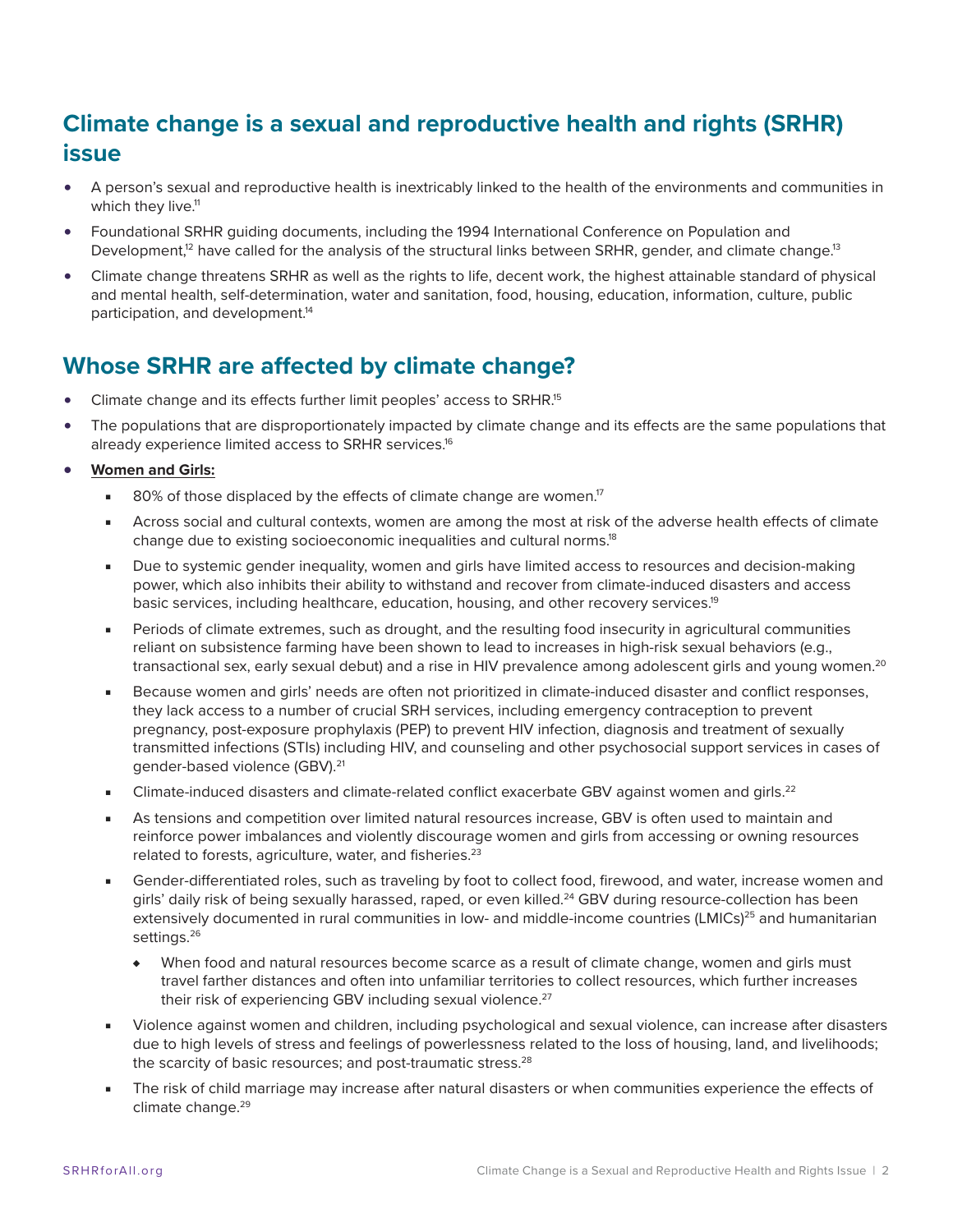# <span id="page-1-0"></span>**Climate change is a sexual and reproductive health and rights (SRHR) issue**

- A person's sexual and reproductive health is inextricably linked to the health of the environments and communities in which they live.<sup>11</sup>
- Foundational SRHR guiding documents, including the 1994 International Conference on Population and Development,<sup>12</sup> have called for the analysis of the structural links between SRHR, gender, and climate change.<sup>13</sup>
- Climate change threatens SRHR as well as the rights to life, decent work, the highest attainable standard of physical and mental health, self-determination, water and sanitation, food, housing, education, information, culture, public participation, and development.<sup>14</sup>

# **Whose SRHR are affected by climate change?**

- Climate change and its effects further limit peoples' access to SRHR[.15](#page-5-0)
- The populations that are disproportionately impacted by climate change and its effects are the same populations that already experience limited access to SRHR services.<sup>16</sup>

#### **• Women and Girls:**

- $\blacksquare$  80% of those displaced by the effects of climate change are women.<sup>17</sup>
- Across social and cultural contexts, women are among the most at risk of the adverse health effects of climate change due to existing socioeconomic inequalities and cultural norms[.18](#page-5-0)
- Due to systemic gender inequality, women and girls have limited access to resources and decision-making power, which also inhibits their ability to withstand and recover from climate-induced disasters and access basic services, including healthcare, education, housing, and other recovery services.<sup>19</sup>
- Periods of climate extremes, such as drought, and the resulting food insecurity in agricultural communities reliant on subsistence farming have been shown to lead to increases in high-risk sexual behaviors (e.g., transactional sex, early sexual debut) and a rise in HIV prevalence among adolescent girls and young women.<sup>[20](#page-5-0)</sup>
- Because women and girls' needs are often not prioritized in climate-induced disaster and conflict responses, they lack access to a number of crucial SRH services, including emergency contraception to prevent pregnancy, post-exposure prophylaxis (PEP) to prevent HIV infection, diagnosis and treatment of sexually transmitted infections (STIs) including HIV, and counseling and other psychosocial support services in cases of gender-based violence (GBV).<sup>21</sup>
- Climate-induced disasters and climate-related conflict exacerbate GBV against women and girls.<sup>[22](#page-6-0)</sup>
- As tensions and competition over limited natural resources increase, GBV is often used to maintain and reinforce power imbalances and violently discourage women and girls from accessing or owning resources related to forests, agriculture, water, and fisheries.<sup>[23](#page-6-0)</sup>
- Gender-differentiated roles, such as traveling by foot to collect food, firewood, and water, increase women and girls' daily risk of being sexually harassed, raped, or even killed.<sup>24</sup> GBV during resource-collection has been extensively documented in rural communities in low- and middle-income countries (LMICs)<sup>25</sup> and humanitarian settings.<sup>26</sup>
	- ♦ When food and natural resources become scarce as a result of climate change, women and girls must travel farther distances and often into unfamiliar territories to collect resources, which further increases their risk of experiencing GBV including sexual violence.<sup>27</sup>
- Violence against women and children, including psychological and sexual violence, can increase after disasters due to high levels of stress and feelings of powerlessness related to the loss of housing, land, and livelihoods; the scarcity of basic resources; and post-traumatic stress.<sup>28</sup>
- The risk of child marriage may increase after natural disasters or when communities experience the effects of climate change.<sup>29</sup>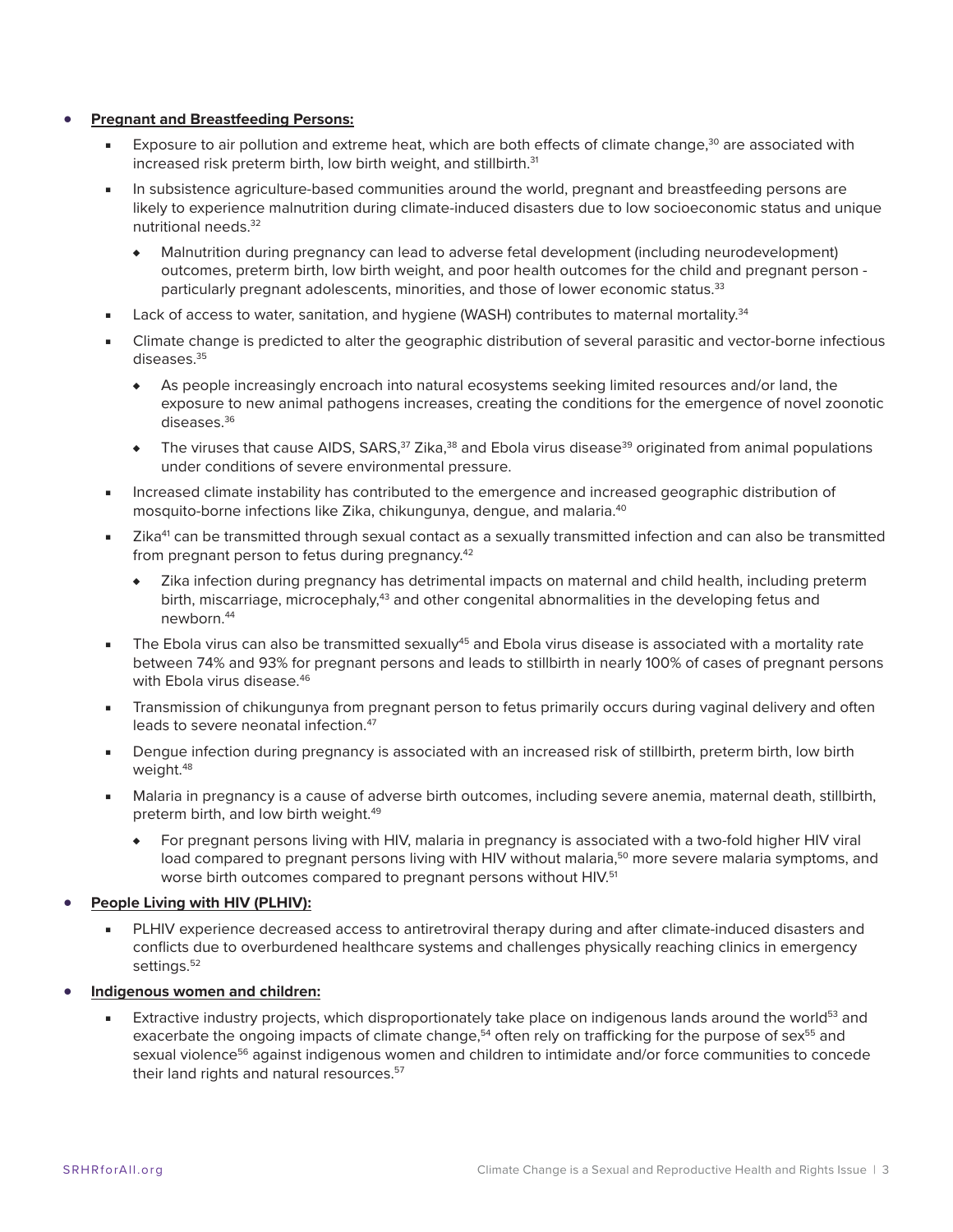#### <span id="page-2-0"></span>**• Pregnant and Breastfeeding Persons:**

- Exposure to air pollution and extreme heat, which are both effects of climate change,<sup>30</sup> are associated with increased risk preterm birth, low birth weight, and stillbirth.<sup>[31](#page-6-0)</sup>
- In subsistence agriculture-based communities around the world, pregnant and breastfeeding persons are likely to experience malnutrition during climate-induced disasters due to low socioeconomic status and unique nutritional needs[.32](#page-6-0)
	- ♦ Malnutrition during pregnancy can lead to adverse fetal development (including neurodevelopment) outcomes, preterm birth, low birth weight, and poor health outcomes for the child and pregnant person particularly pregnant adolescents, minorities, and those of lower economic status.<sup>33</sup>
- Lack of access to water, sanitation, and hygiene (WASH) contributes to maternal mortality.<sup>[34](#page-6-0)</sup>
- Climate change is predicted to alter the geographic distribution of several parasitic and vector-borne infectious diseases.<sup>35</sup>
	- ♦ As people increasingly encroach into natural ecosystems seeking limited resources and/or land, the exposure to new animal pathogens increases, creating the conditions for the emergence of novel zoonotic diseases.<sup>36</sup>
	- $\bullet$  The viruses that cause AIDS, SARS,<sup>37</sup> Zika,<sup>38</sup> and Ebola virus disease<sup>[39](#page-6-0)</sup> originated from animal populations under conditions of severe environmental pressure.
- Increased climate instability has contributed to the emergence and increased geographic distribution of mosquito-borne infections like Zika, chikungunya, dengue, and malaria.[40](#page-6-0)
- Zika<sup>41</sup> can be transmitted through sexual contact as a sexually transmitted infection and can also be transmitted from pregnant person to fetus during pregnancy.<sup>[42](#page-7-0)</sup>
	- ♦ Zika infection during pregnancy has detrimental impacts on maternal and child health, including preterm birth, miscarriage, microcephaly,<sup>[43](#page-7-0)</sup> and other congenital abnormalities in the developing fetus and newborn.[44](#page-7-0)
- The Ebola virus can also be transmitted sexually<sup>45</sup> and Ebola virus disease is associated with a mortality rate between 74% and 93% for pregnant persons and leads to stillbirth in nearly 100% of cases of pregnant persons with Ebola virus disease.<sup>[46](#page-7-0)</sup>
- Transmission of chikungunya from pregnant person to fetus primarily occurs during vaginal delivery and often leads to severe neonatal infection.<sup>[47](#page-7-0)</sup>
- Dengue infection during pregnancy is associated with an increased risk of stillbirth, preterm birth, low birth weight.<sup>48</sup>
- Malaria in pregnancy is a cause of adverse birth outcomes, including severe anemia, maternal death, stillbirth, preterm birth, and low birth weight.<sup>49</sup>
	- ♦ For pregnant persons living with HIV, malaria in pregnancy is associated with a two-fold higher HIV viral load compared to pregnant persons living with HIV without malaria,<sup>50</sup> more severe malaria symptoms, and worse birth outcomes compared to pregnant persons without HIV.<sup>51</sup>

#### **• People Living with HIV (PLHIV):**

- PLHIV experience decreased access to antiretroviral therapy during and after climate-induced disasters and conflicts due to overburdened healthcare systems and challenges physically reaching clinics in emergency settings.<sup>52</sup>
- **• Indigenous women and children:**
	- Extractive industry projects, which disproportionately take place on indigenous lands around the world<sup>53</sup> and exacerbate the ongoing impacts of climate change,<sup>54</sup> often rely on trafficking for the purpose of sex<sup>55</sup> and sexual violence<sup>56</sup> against indigenous women and children to intimidate and/or force communities to concede their land rights and natural resources.<sup>57</sup>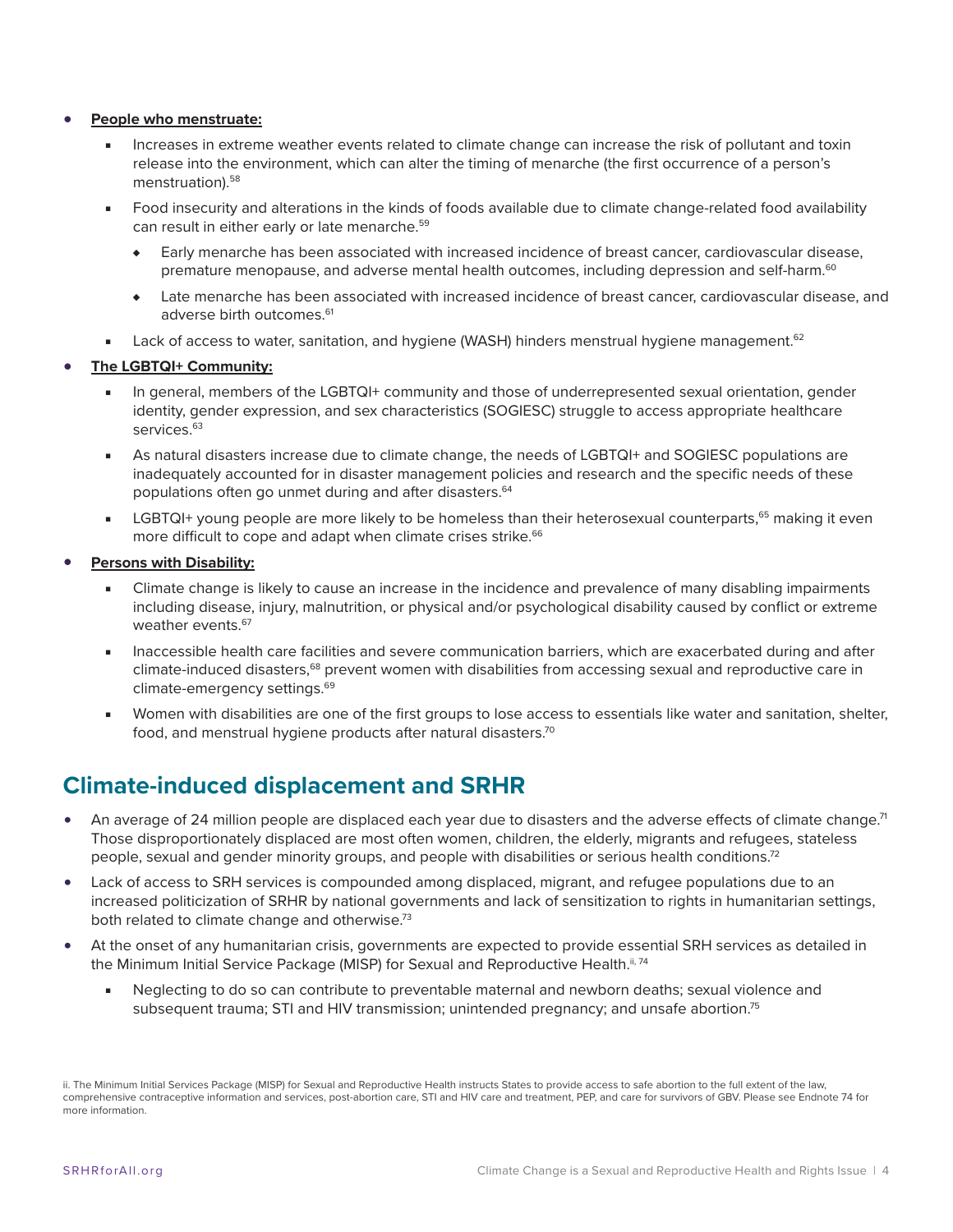#### <span id="page-3-0"></span>**• People who menstruate:**

- Increases in extreme weather events related to climate change can increase the risk of pollutant and toxin release into the environment, which can alter the timing of menarche (the first occurrence of a person's menstruation).<sup>[58](#page-7-0)</sup>
- Food insecurity and alterations in the kinds of foods available due to climate change-related food availability can result in either early or late menarche[.59](#page-7-0)
	- ♦ Early menarche has been associated with increased incidence of breast cancer, cardiovascular disease, premature menopause, and adverse mental health outcomes, including depression and self-harm.<sup>[60](#page-7-0)</sup>
	- ♦ Late menarche has been associated with increased incidence of breast cancer, cardiovascular disease, and adverse birth outcomes.<sup>61</sup>
- Lack of access to water, sanitation, and hygiene (WASH) hinders menstrual hygiene management.<sup>[62](#page-7-0)</sup>

#### **• The LGBTQI+ Community:**

- In general, members of the LGBTQI+ community and those of underrepresented sexual orientation, gender identity, gender expression, and sex characteristics (SOGIESC) struggle to access appropriate healthcare services.<sup>[63](#page-7-0)</sup>
- As natural disasters increase due to climate change, the needs of LGBTQI+ and SOGIESC populations are inadequately accounted for in disaster management policies and research and the specific needs of these populations often go unmet during and after disasters.<sup>[64](#page-7-0)</sup>
- LGBTQI+ young people are more likely to be homeless than their heterosexual counterparts,<sup>[65](#page-7-0)</sup> making it even more difficult to cope and adapt when climate crises strike.<sup>[66](#page-7-0)</sup>
- **• Persons with Disability:**
	- Climate change is likely to cause an increase in the incidence and prevalence of many disabling impairments including disease, injury, malnutrition, or physical and/or psychological disability caused by conflict or extreme weather events.<sup>67</sup>
	- Inaccessible health care facilities and severe communication barriers, which are exacerbated during and after climate-induced disasters,<sup>68</sup> prevent women with disabilities from accessing sexual and reproductive care in climate-emergency settings.<sup>69</sup>
	- Women with disabilities are one of the first groups to lose access to essentials like water and sanitation, shelter, food, and menstrual hygiene products after natural disasters.<sup>70</sup>

### **Climate-induced displacement and SRHR**

- An average of 24 million people are displaced each year due to disasters and the adverse effects of climate change.<sup>71</sup> Those disproportionately displaced are most often women, children, the elderly, migrants and refugees, stateless people, sexual and gender minority groups, and people with disabilities or serious health conditions[.72](#page-8-0)
- Lack of access to SRH services is compounded among displaced, migrant, and refugee populations due to an increased politicization of SRHR by national governments and lack of sensitization to rights in humanitarian settings, both related to climate change and otherwise.<sup>73</sup>
- At the onset of any humanitarian crisis, governments are expected to provide essential SRH services as detailed in the Minimum Initial Service Package (MISP) for Sexual and Reproductive Health.<sup>[ii, 74](#page-8-0)</sup>
	- Neglecting to do so can contribute to preventable maternal and newborn deaths; sexual violence and subsequent trauma; STI and HIV transmission; unintended pregnancy; and unsafe abortion.<sup>75</sup>

ii. The Minimum Initial Services Package (MISP) for Sexual and Reproductive Health instructs States to provide access to safe abortion to the full extent of the law, comprehensive contraceptive information and services, post-abortion care, STI and HIV care and treatment, PEP, and care for survivors of GBV. Please see Endnote 74 for more information.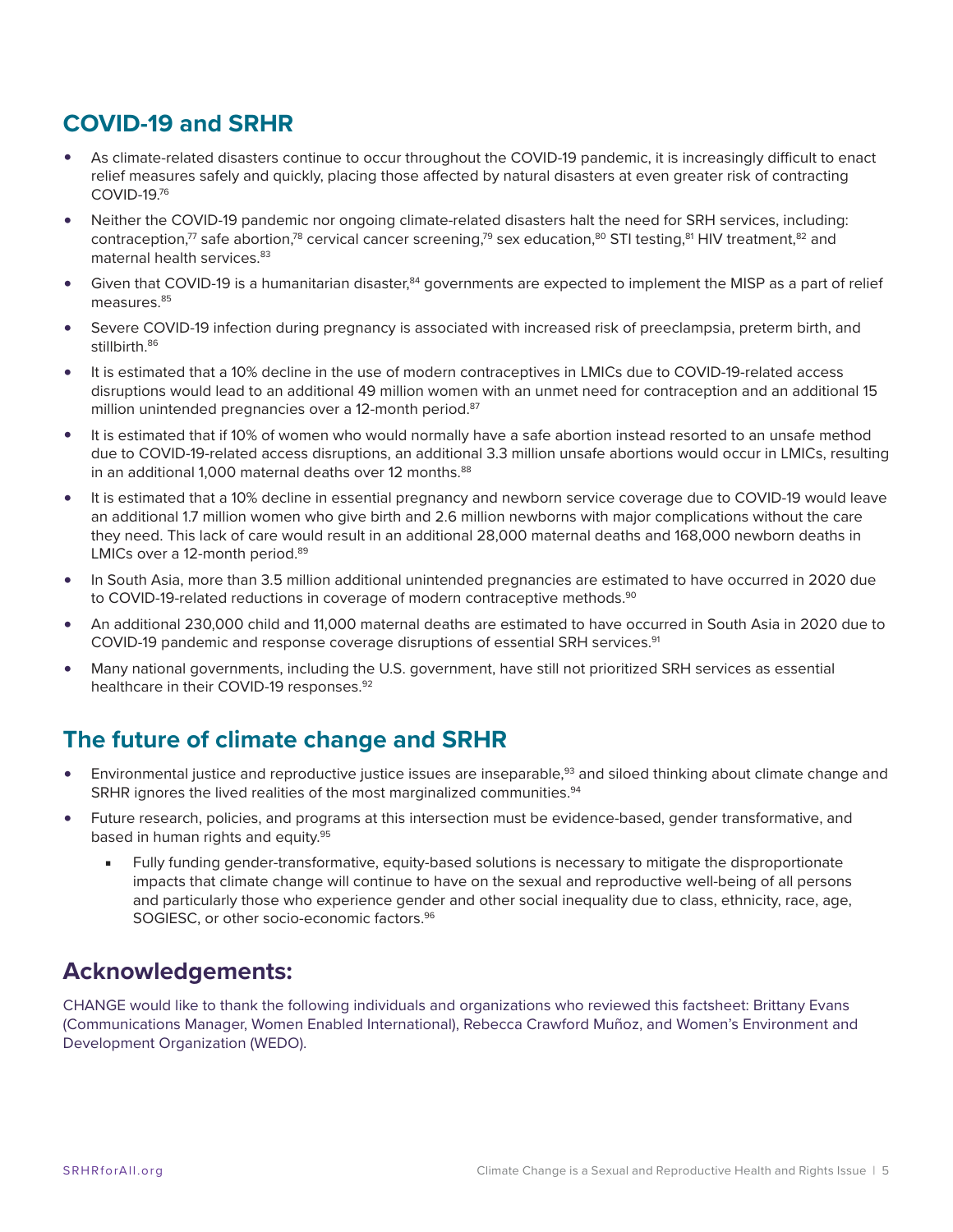# <span id="page-4-0"></span>**COVID-19 and SRHR**

- As climate-related disasters continue to occur throughout the COVID-19 pandemic, it is increasingly difficult to enact relief measures safely and quickly, placing those affected by natural disasters at even greater risk of contracting  $COMID-19<sup>76</sup>$
- Neither the COVID-19 pandemic nor ongoing climate-related disasters halt the need for SRH services, including: contraception,<sup>77</sup> safe abortion,<sup>78</sup> cervical cancer screening,<sup>79</sup> sex education,<sup>[80](#page-8-0)</sup> STI testing,<sup>81</sup> HIV treatment,<sup>[82](#page-8-0)</sup> and maternal health services.<sup>83</sup>
- Given that COVID-19 is a humanitarian disaster,<sup>84</sup> governments are expected to implement the MISP as a part of relief measures.<sup>[85](#page-8-0)</sup>
- Severe COVID-19 infection during pregnancy is associated with increased risk of preeclampsia, preterm birth, and stillbirth [86](#page-8-0)
- It is estimated that a 10% decline in the use of modern contraceptives in LMICs due to COVID-19-related access disruptions would lead to an additional 49 million women with an unmet need for contraception and an additional 15 million unintended pregnancies over a 12-month period.<sup>87</sup>
- It is estimated that if 10% of women who would normally have a safe abortion instead resorted to an unsafe method due to COVID-19-related access disruptions, an additional 3.3 million unsafe abortions would occur in LMICs, resulting in an additional 1,000 maternal deaths over 12 months.<sup>88</sup>
- It is estimated that a 10% decline in essential pregnancy and newborn service coverage due to COVID-19 would leave an additional 1.7 million women who give birth and 2.6 million newborns with major complications without the care they need. This lack of care would result in an additional 28,000 maternal deaths and 168,000 newborn deaths in LMICs over a 12-month period.<sup>89</sup>
- In South Asia, more than 3.5 million additional unintended pregnancies are estimated to have occurred in 2020 due to COVID-19-related reductions in coverage of modern contraceptive methods.<sup>90</sup>
- An additional 230,000 child and 11,000 maternal deaths are estimated to have occurred in South Asia in 2020 due to COVID-19 pandemic and response coverage disruptions of essential SRH services.<sup>[91](#page-8-0)</sup>
- Many national governments, including the U.S. government, have still not prioritized SRH services as essential healthcare in their COVID-19 responses.<sup>[92](#page-8-0)</sup>

# **The future of climate change and SRHR**

- Environmental justice and reproductive justice issues are inseparable,<sup>[93](#page-8-0)</sup> and siloed thinking about climate change and SRHR ignores the lived realities of the most marginalized communities.<sup>[94](#page-8-0)</sup>
- Future research, policies, and programs at this intersection must be evidence-based, gender transformative, and based in human rights and equity.<sup>[95](#page-8-0)</sup>
	- Fully funding gender-transformative, equity-based solutions is necessary to mitigate the disproportionate impacts that climate change will continue to have on the sexual and reproductive well-being of all persons and particularly those who experience gender and other social inequality due to class, ethnicity, race, age, SOGIESC, or other socio-economic factors.<sup>[96](#page-8-0)</sup>

# **Acknowledgements:**

CHANGE would like to thank the following individuals and organizations who reviewed this factsheet: Brittany Evans (Communications Manager, Women Enabled International), Rebecca Crawford Muñoz, and Women's Environment and Development Organization (WEDO).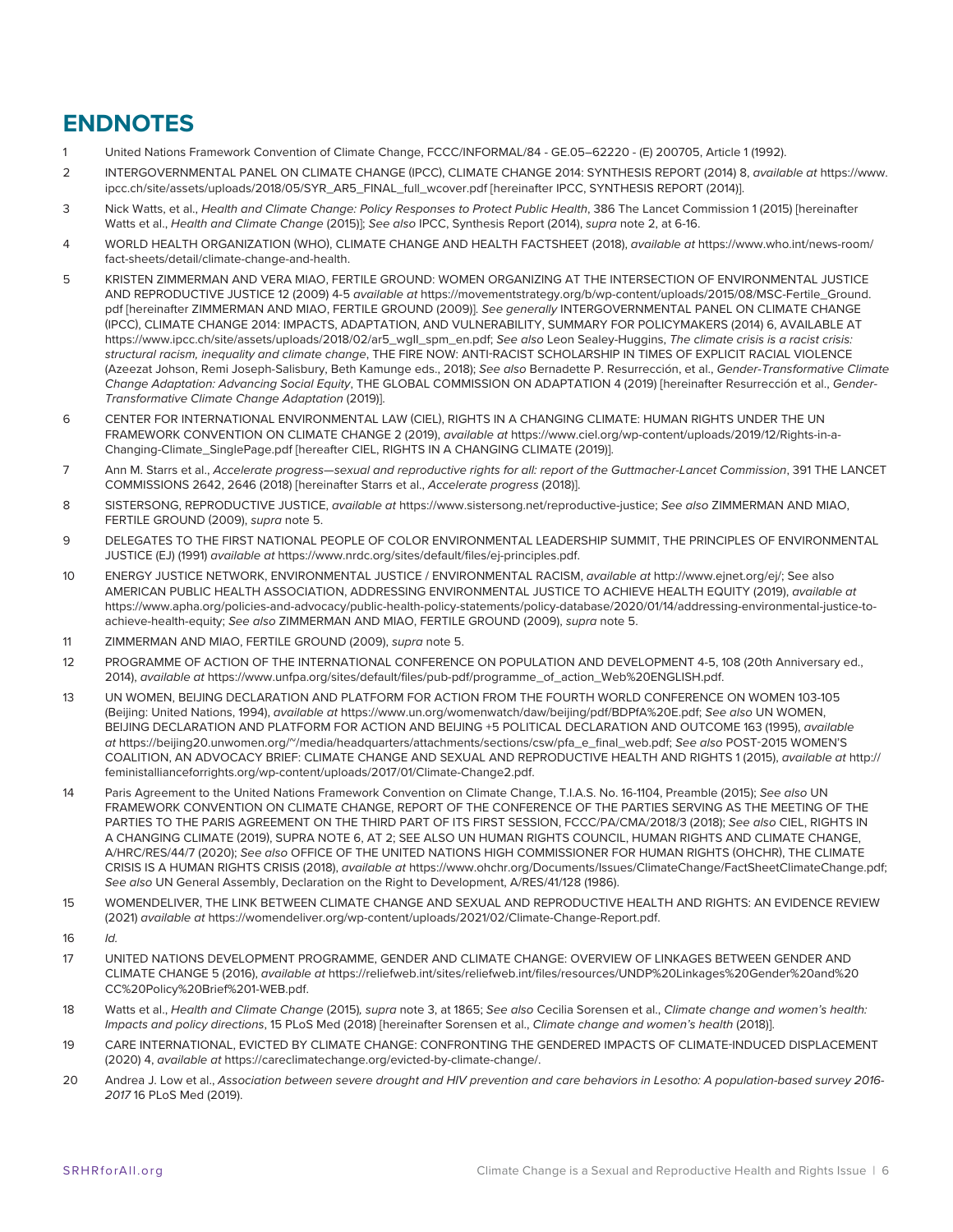# <span id="page-5-0"></span>**ENDNOTES**

- 1 United Nations Framework Convention of Climate Change, FCCC/INFORMAL/84 GE.05–62220 (E) 200705, Article 1 (1992).
- [2](#page-0-0) INTERGOVERNMENTAL PANEL ON CLIMATE CHANGE (IPCC), CLIMATE CHANGE 2014: SYNTHESIS REPORT (2014) 8, *available at* https://www. ipcc.ch/site/assets/uploads/2018/05/SYR\_AR5\_FINAL\_full\_wcover.pdf [hereinafter IPCC, SYNTHESIS REPORT (2014)].
- [3](#page-0-0) Nick Watts, et al., *Health and Climate Change: Policy Responses to Protect Public Health*, 386 The Lancet Commission 1 (2015) [hereinafter Watts et al., *Health and Climate Change* (2015)]; *See also* IPCC, Synthesis Report (2014), *supra* note 2, at 6-16.
- [4](#page-0-0) WORLD HEALTH ORGANIZATION (WHO), CLIMATE CHANGE AND HEALTH FACTSHEET (2018), *available at* https://www.who.int/news-room/ fact-sheets/detail/climate-change-and-health.
- [5](#page-0-0) KRISTEN ZIMMERMAN AND VERA MIAO, FERTILE GROUND: WOMEN ORGANIZING AT THE INTERSECTION OF ENVIRONMENTAL JUSTICE AND REPRODUCTIVE JUSTICE 12 (2009) 4-5 *available at* https://movementstrategy.org/b/wp-content/uploads/2015/08/MSC-Fertile\_Ground. pdf [hereinafter ZIMMERMAN AND MIAO, FERTILE GROUND (2009)]. *See generally* INTERGOVERNMENTAL PANEL ON CLIMATE CHANGE (IPCC), CLIMATE CHANGE 2014: IMPACTS, ADAPTATION, AND VULNERABILITY, SUMMARY FOR POLICYMAKERS (2014) 6, AVAILABLE AT https://www.ipcc.ch/site/assets/uploads/2018/02/ar5\_wgII\_spm\_en.pdf; *See also* Leon Sealey-Huggins, *The climate crisis is a racist crisis: structural racism, inequality and climate change*, THE FIRE NOW: ANTI-RACIST SCHOLARSHIP IN TIMES OF EXPLICIT RACIAL VIOLENCE (Azeezat Johson, Remi Joseph-Salisbury, Beth Kamunge eds., 2018); *See also* Bernadette P. Resurrección, et al., *Gender-Transformative Climate Change Adaptation: Advancing Social Equity*, THE GLOBAL COMMISSION ON ADAPTATION 4 (2019) [hereinafter Resurrección et al., *Gender-Transformative Climate Change Adaptation* (2019)].
- [6](#page-0-0) CENTER FOR INTERNATIONAL ENVIRONMENTAL LAW (CIEL), RIGHTS IN A CHANGING CLIMATE: HUMAN RIGHTS UNDER THE UN FRAMEWORK CONVENTION ON CLIMATE CHANGE 2 (2019), *available at* https://www.ciel.org/wp-content/uploads/2019/12/Rights-in-a-Changing-Climate\_SinglePage.pdf [hereafter CIEL, RIGHTS IN A CHANGING CLIMATE (2019)].
- [7](#page-0-0) Ann M. Starrs et al., *Accelerate progress—sexual and reproductive rights for all: report of the Guttmacher-Lancet Commission*, 391 THE LANCET COMMISSIONS 2642, 2646 (2018) [hereinafter Starrs et al., *Accelerate progress* (2018)].
- [8](#page-0-0) SISTERSONG, REPRODUCTIVE JUSTICE, *available at* https://www.sistersong.net/reproductive-justice; *See also* ZIMMERMAN AND MIAO, FERTILE GROUND (2009), *supra* note 5.
- [9](#page-0-0) DELEGATES TO THE FIRST NATIONAL PEOPLE OF COLOR ENVIRONMENTAL LEADERSHIP SUMMIT, THE PRINCIPLES OF ENVIRONMENTAL JUSTICE (EJ) (1991) *available at* https://www.nrdc.org/sites/default/files/ej-principles.pdf.
- [10](#page-0-0) ENERGY JUSTICE NETWORK, ENVIRONMENTAL JUSTICE / ENVIRONMENTAL RACISM, *available at* http://www.ejnet.org/ej/; See also AMERICAN PUBLIC HEALTH ASSOCIATION, ADDRESSING ENVIRONMENTAL JUSTICE TO ACHIEVE HEALTH EQUITY (2019), *available at* https://www.apha.org/policies-and-advocacy/public-health-policy-statements/policy-database/2020/01/14/addressing-environmental-justice-toachieve-health-equity; *See also* ZIMMERMAN AND MIAO, FERTILE GROUND (2009), *supra* note 5.
- [11](#page-1-0) ZIMMERMAN AND MIAO, FERTILE GROUND (2009), *supra* note 5.
- [12](#page-1-0) PROGRAMME OF ACTION OF THE INTERNATIONAL CONFERENCE ON POPULATION AND DEVELOPMENT 4-5, 108 (20th Anniversary ed., 2014), *available at* https://www.unfpa.org/sites/default/files/pub-pdf/programme\_of\_action\_Web%20ENGLISH.pdf.
- [13](#page-1-0) UN WOMEN, BEIJING DECLARATION AND PLATFORM FOR ACTION FROM THE FOURTH WORLD CONFERENCE ON WOMEN 103-105 (Beijing: United Nations, 1994), *available at* https://www.un.org/womenwatch/daw/beijing/pdf/BDPfA%20E.pdf; *See also* UN WOMEN, BEIJING DECLARATION AND PLATFORM FOR ACTION AND BEIJING +5 POLITICAL DECLARATION AND OUTCOME 163 (1995), *available at* https://beijing20.unwomen.org/~/media/headquarters/attachments/sections/csw/pfa\_e\_final\_web.pdf; *See also* POST-2015 WOMEN'S COALITION, AN ADVOCACY BRIEF: CLIMATE CHANGE AND SEXUAL AND REPRODUCTIVE HEALTH AND RIGHTS 1 (2015), *available at* http:// feministallianceforrights.org/wp-content/uploads/2017/01/Climate-Change2.pdf.
- [14](#page-1-0) Paris Agreement to the United Nations Framework Convention on Climate Change, T.I.A.S. No. 16-1104, Preamble (2015); *See also* UN FRAMEWORK CONVENTION ON CLIMATE CHANGE, REPORT OF THE CONFERENCE OF THE PARTIES SERVING AS THE MEETING OF THE PARTIES TO THE PARIS AGREEMENT ON THE THIRD PART OF ITS FIRST SESSION, FCCC/PA/CMA/2018/3 (2018); *See also* CIEL, RIGHTS IN A CHANGING CLIMATE (2019), SUPRA NOTE 6, AT 2; SEE ALSO UN HUMAN RIGHTS COUNCIL, HUMAN RIGHTS AND CLIMATE CHANGE, A/HRC/RES/44/7 (2020); *See also* OFFICE OF THE UNITED NATIONS HIGH COMMISSIONER FOR HUMAN RIGHTS (OHCHR), THE CLIMATE CRISIS IS A HUMAN RIGHTS CRISIS (2018), *available at* https://www.ohchr.org/Documents/Issues/ClimateChange/FactSheetClimateChange.pdf; *See also* UN General Assembly, Declaration on the Right to Development, A/RES/41/128 (1986).
- [15](#page-1-0) WOMENDELIVER, THE LINK BETWEEN CLIMATE CHANGE AND SEXUAL AND REPRODUCTIVE HEALTH AND RIGHTS: AN EVIDENCE REVIEW (2021) *available at* https://womendeliver.org/wp-content/uploads/2021/02/Climate-Change-Report.pdf.
- [16](#page-1-0) *Id.*
- [17](#page-1-0) UNITED NATIONS DEVELOPMENT PROGRAMME, GENDER AND CLIMATE CHANGE: OVERVIEW OF LINKAGES BETWEEN GENDER AND CLIMATE CHANGE 5 (2016), *available at* https://reliefweb.int/sites/reliefweb.int/files/resources/UNDP%20Linkages%20Gender%20and%20 CC%20Policy%20Brief%201-WEB.pdf.
- [18](#page-1-0) Watts et al., *Health and Climate Change* (2015)*, supra* note 3, at 1865; *See also* Cecilia Sorensen et al., *Climate change and women's health: Impacts and policy directions*, 15 PLoS Med (2018) [hereinafter Sorensen et al., *Climate change and women's health* (2018)].
- [19](#page-1-0) CARE INTERNATIONAL, EVICTED BY CLIMATE CHANGE: CONFRONTING THE GENDERED IMPACTS OF CLIMATE-INDUCED DISPLACEMENT (2020) 4, *available at* https://careclimatechange.org/evicted-by-climate-change/.
- [20](#page-1-0) Andrea J. Low et al., *Association between severe drought and HIV prevention and care behaviors in Lesotho: A population-based survey 2016- 2017* 16 PLoS Med (2019).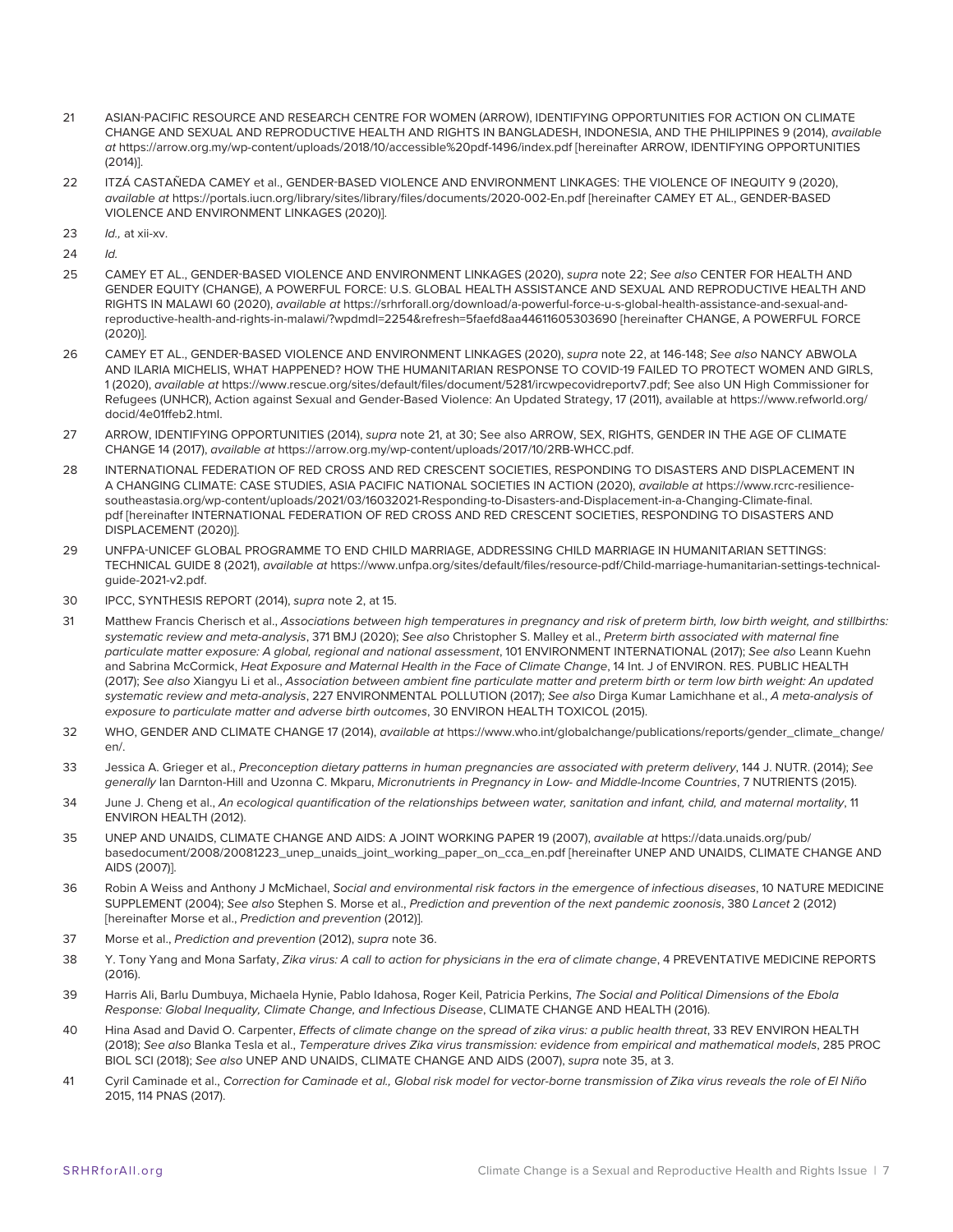- <span id="page-6-0"></span>[21](#page-1-0) ASIAN-PACIFIC RESOURCE AND RESEARCH CENTRE FOR WOMEN (ARROW), IDENTIFYING OPPORTUNITIES FOR ACTION ON CLIMATE CHANGE AND SEXUAL AND REPRODUCTIVE HEALTH AND RIGHTS IN BANGLADESH, INDONESIA, AND THE PHILIPPINES 9 (2014), *available at* https://arrow.org.my/wp-content/uploads/2018/10/accessible%20pdf-1496/index.pdf [hereinafter ARROW, IDENTIFYING OPPORTUNITIES (2014)].
- [22](#page-1-0) ITZÁ CASTAÑEDA CAMEY et al., GENDER-BASED VIOLENCE AND ENVIRONMENT LINKAGES: THE VIOLENCE OF INEQUITY 9 (2020), *available at* https://portals.iucn.org/library/sites/library/files/documents/2020-002-En.pdf [hereinafter CAMEY ET AL., GENDER-BASED VIOLENCE AND ENVIRONMENT LINKAGES (2020)].
- [23](#page-1-0) *Id.,* at xii-xv.
- [24](#page-1-0) *Id.*
- [25](#page-1-0) CAMEY ET AL., GENDER-BASED VIOLENCE AND ENVIRONMENT LINKAGES (2020), *supra* note 22; *See also* CENTER FOR HEALTH AND GENDER EQUITY (CHANGE), A POWERFUL FORCE: U.S. GLOBAL HEALTH ASSISTANCE AND SEXUAL AND REPRODUCTIVE HEALTH AND RIGHTS IN MALAWI 60 (2020), *available at* https://srhrforall.org/download/a-powerful-force-u-s-global-health-assistance-and-sexual-andreproductive-health-and-rights-in-malawi/?wpdmdl=2254&refresh=5faefd8aa44611605303690 [hereinafter CHANGE, A POWERFUL FORCE (2020)].
- [26](#page-1-0) CAMEY ET AL., GENDER-BASED VIOLENCE AND ENVIRONMENT LINKAGES (2020), *supra* note 22, at 146-148; *See also* NANCY ABWOLA AND ILARIA MICHELIS, WHAT HAPPENED? HOW THE HUMANITARIAN RESPONSE TO COVID-19 FAILED TO PROTECT WOMEN AND GIRLS, 1 (2020), *available at* https://www.rescue.org/sites/default/files/document/5281/ircwpecovidreportv7.pdf; See also UN High Commissioner for Refugees (UNHCR), Action against Sexual and Gender-Based Violence: An Updated Strategy, 17 (2011), available at https://www.refworld.org/ docid/4e01ffeb2.html.
- [27](#page-1-0) ARROW, IDENTIFYING OPPORTUNITIES (2014), *supra* note 21, at 30; See also ARROW, SEX, RIGHTS, GENDER IN THE AGE OF CLIMATE CHANGE 14 (2017), *available at* https://arrow.org.my/wp-content/uploads/2017/10/2RB-WHCC.pdf.
- [28](#page-1-0) INTERNATIONAL FEDERATION OF RED CROSS AND RED CRESCENT SOCIETIES, RESPONDING TO DISASTERS AND DISPLACEMENT IN A CHANGING CLIMATE: CASE STUDIES, ASIA PACIFIC NATIONAL SOCIETIES IN ACTION (2020), *available at* https://www.rcrc-resiliencesoutheastasia.org/wp-content/uploads/2021/03/16032021-Responding-to-Disasters-and-Displacement-in-a-Changing-Climate-final. pdf [hereinafter INTERNATIONAL FEDERATION OF RED CROSS AND RED CRESCENT SOCIETIES, RESPONDING TO DISASTERS AND DISPLACEMENT (2020)].
- [29](#page-1-0) UNFPA-UNICEF GLOBAL PROGRAMME TO END CHILD MARRIAGE, ADDRESSING CHILD MARRIAGE IN HUMANITARIAN SETTINGS: TECHNICAL GUIDE 8 (2021), *available at* https://www.unfpa.org/sites/default/files/resource-pdf/Child-marriage-humanitarian-settings-technicalguide-2021-v2.pdf.
- [30](#page-2-0) IPCC, SYNTHESIS REPORT (2014), *supra* note 2, at 15.
- [31](#page-2-0) Matthew Francis Cherisch et al., *Associations between high temperatures in pregnancy and risk of preterm birth, low birth weight, and stillbirths: systematic review and meta-analysis*, 371 BMJ (2020); *See also* Christopher S. Malley et al., *Preterm birth associated with maternal fine particulate matter exposure: A global, regional and national assessment*, 101 ENVIRONMENT INTERNATIONAL (2017); *See also* Leann Kuehn and Sabrina McCormick, *Heat Exposure and Maternal Health in the Face of Climate Change*, 14 Int. J of ENVIRON. RES. PUBLIC HEALTH (2017); *See also* Xiangyu Li et al., *Association between ambient fine particulate matter and preterm birth or term low birth weight: An updated systematic review and meta-analysis*, 227 ENVIRONMENTAL POLLUTION (2017); *See also* Dirga Kumar Lamichhane et al., *A meta-analysis of exposure to particulate matter and adverse birth outcomes*, 30 ENVIRON HEALTH TOXICOL (2015).
- [32](#page-2-0) WHO, GENDER AND CLIMATE CHANGE 17 (2014), *available at* https://www.who.int/globalchange/publications/reports/gender\_climate\_change/ en/.
- [33](#page-2-0) Jessica A. Grieger et al., *Preconception dietary patterns in human pregnancies are associated with preterm delivery*, 144 J. NUTR. (2014); *See generally* Ian Darnton-Hill and Uzonna C. Mkparu, *Micronutrients in Pregnancy in Low- and Middle-Income Countries*, 7 NUTRIENTS (2015).
- [34](#page-2-0) June J. Cheng et al., *An ecological quantification of the relationships between water, sanitation and infant, child, and maternal mortality*, 11 ENVIRON HEALTH (2012).
- [35](#page-2-0) UNEP AND UNAIDS, CLIMATE CHANGE AND AIDS: A JOINT WORKING PAPER 19 (2007), *available at* https://data.unaids.org/pub/ basedocument/2008/20081223\_unep\_unaids\_joint\_working\_paper\_on\_cca\_en.pdf [hereinafter UNEP AND UNAIDS, CLIMATE CHANGE AND AIDS (2007)].
- [36](#page-2-0) Robin A Weiss and Anthony J McMichael, *Social and environmental risk factors in the emergence of infectious diseases*, 10 NATURE MEDICINE SUPPLEMENT (2004); *See also* Stephen S. Morse et al., *Prediction and prevention of the next pandemic zoonosis*, 380 *Lancet* 2 (2012) [hereinafter Morse et al., *Prediction and prevention* (2012)].
- [37](#page-2-0) Morse et al., *Prediction and prevention* (2012), *supra* note 36.
- [38](#page-2-0) Y. Tony Yang and Mona Sarfaty, Zika virus: A call to action for physicians in the era of climate change, 4 PREVENTATIVE MEDICINE REPORTS  $(2016)$
- [39](#page-2-0) Harris Ali, Barlu Dumbuya, Michaela Hynie, Pablo Idahosa, Roger Keil, Patricia Perkins, *The Social and Political Dimensions of the Ebola Response: Global Inequality, Climate Change, and Infectious Disease*, CLIMATE CHANGE AND HEALTH (2016).
- [40](#page-2-0) Hina Asad and David O. Carpenter, *Effects of climate change on the spread of zika virus: a public health threat*, 33 REV ENVIRON HEALTH (2018); *See also* Blanka Tesla et al., *Temperature drives Zika virus transmission: evidence from empirical and mathematical models*, 285 PROC BIOL SCI (2018); *See also* UNEP AND UNAIDS, CLIMATE CHANGE AND AIDS (2007), *supra* note 35, at 3.
- [41](#page-2-0) Cyril Caminade et al., *Correction for Caminade et al., Global risk model for vector-borne transmission of Zika virus reveals the role of El Niño*  2015, 114 PNAS (2017).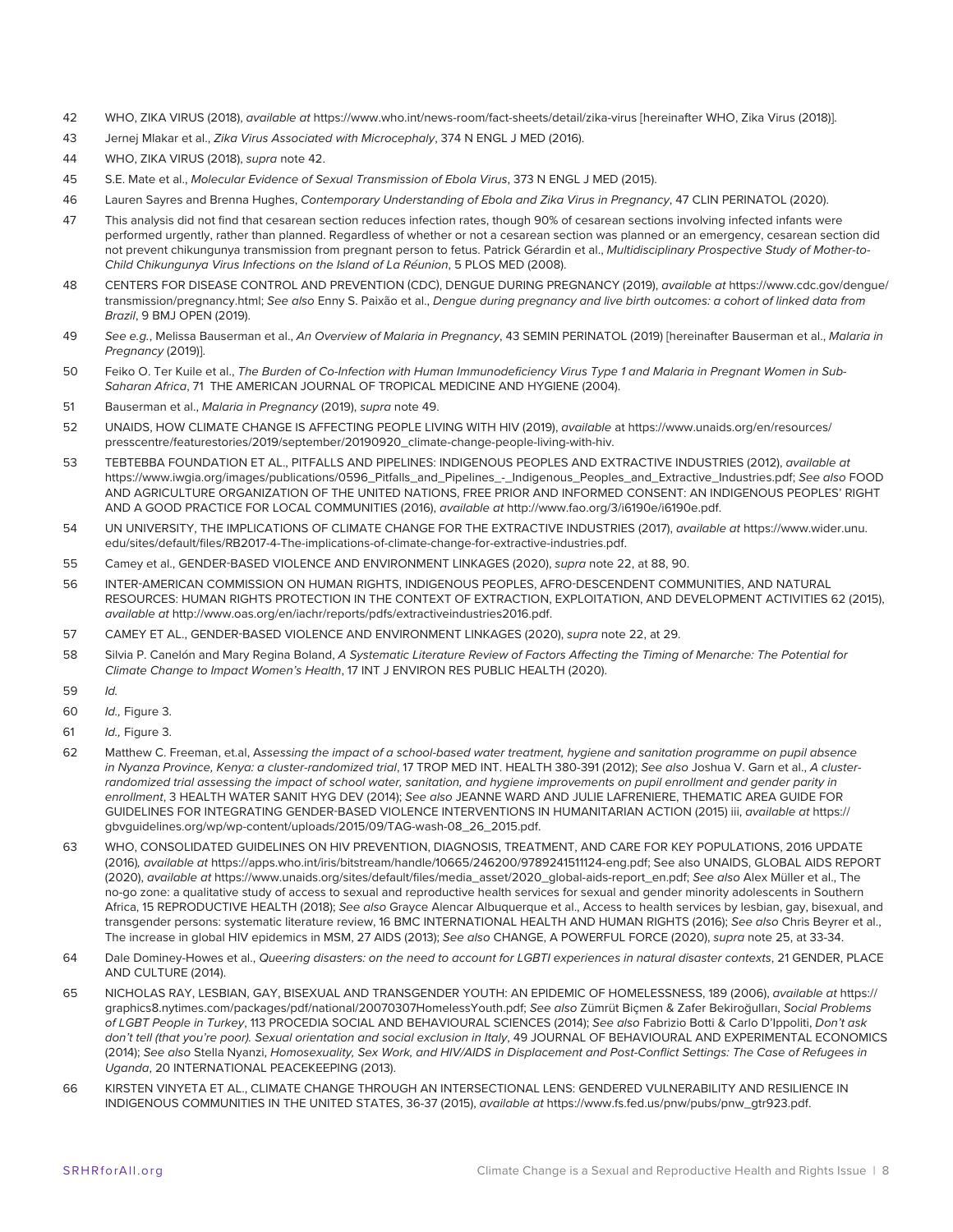- <span id="page-7-0"></span>[42](#page-2-0) WHO, ZIKA VIRUS (2018), *available at* https://www.who.int/news-room/fact-sheets/detail/zika-virus [hereinafter WHO, Zika Virus (2018)].
- [43](#page-2-0) Jernej Mlakar et al., *Zika Virus Associated with Microcephaly*, 374 N ENGL J MED (2016).
- [44](#page-2-0) WHO, ZIKA VIRUS (2018), *supra* note 42.
- [45](#page-2-0) S.E. Mate et al., *Molecular Evidence of Sexual Transmission of Ebola Virus*, 373 N ENGL J MED (2015).
- [46](#page-2-0) Lauren Sayres and Brenna Hughes, *Contemporary Understanding of Ebola and Zika Virus in Pregnancy*, 47 CLIN PERINATOL (2020).
- [47](#page-2-0) This analysis did not find that cesarean section reduces infection rates, though 90% of cesarean sections involving infected infants were performed urgently, rather than planned. Regardless of whether or not a cesarean section was planned or an emergency, cesarean section did not prevent chikungunya transmission from pregnant person to fetus. Patrick Gérardin et al., *Multidisciplinary Prospective Study of Mother-to-Child Chikungunya Virus Infections on the Island of La Réunion*, 5 PLOS MED (2008).
- [48](#page-2-0) CENTERS FOR DISEASE CONTROL AND PREVENTION (CDC), DENGUE DURING PREGNANCY (2019), *available at* https://www.cdc.gov/dengue/ transmission/pregnancy.html; *See also* Enny S. Paixão et al., *Dengue during pregnancy and live birth outcomes: a cohort of linked data from Brazil*, 9 BMJ OPEN (2019).
- [49](#page-2-0) *See e.g.*, Melissa Bauserman et al., *An Overview of Malaria in Pregnancy*, 43 SEMIN PERINATOL (2019) [hereinafter Bauserman et al., *Malaria in Pregnancy* (2019)].
- [50](#page-2-0) Feiko O. Ter Kuile et al., *The Burden of Co-Infection with Human Immunodeficiency Virus Type 1 and Malaria in Pregnant Women in Sub-Saharan Africa*, 71 THE AMERICAN JOURNAL OF TROPICAL MEDICINE AND HYGIENE (2004).
- [51](#page-2-0) Bauserman et al., *Malaria in Pregnancy* (2019), *supra* note 49.
- [52](#page-2-0) UNAIDS, HOW CLIMATE CHANGE IS AFFECTING PEOPLE LIVING WITH HIV (2019), *available* at https://www.unaids.org/en/resources/ presscentre/featurestories/2019/september/20190920\_climate-change-people-living-with-hiv.
- [53](#page-2-0) TEBTEBBA FOUNDATION ET AL., PITFALLS AND PIPELINES: INDIGENOUS PEOPLES AND EXTRACTIVE INDUSTRIES (2012), *available at*  https://www.iwgia.org/images/publications/0596\_Pitfalls\_and\_Pipelines\_-\_Indigenous\_Peoples\_and\_Extractive\_Industries.pdf; *See also* FOOD AND AGRICULTURE ORGANIZATION OF THE UNITED NATIONS, FREE PRIOR AND INFORMED CONSENT: AN INDIGENOUS PEOPLES' RIGHT AND A GOOD PRACTICE FOR LOCAL COMMUNITIES (2016), *available at* http://www.fao.org/3/i6190e/i6190e.pdf.
- [54](#page-2-0) UN UNIVERSITY, THE IMPLICATIONS OF CLIMATE CHANGE FOR THE EXTRACTIVE INDUSTRIES (2017), *available at* https://www.wider.unu. edu/sites/default/files/RB2017-4-The-implications-of-climate-change-for-extractive-industries.pdf.
- [55](#page-2-0) Camey et al., GENDER-BASED VIOLENCE AND ENVIRONMENT LINKAGES (2020), *supra* note 22, at 88, 90.
- [56](#page-2-0) INTER-AMERICAN COMMISSION ON HUMAN RIGHTS, INDIGENOUS PEOPLES, AFRO-DESCENDENT COMMUNITIES, AND NATURAL RESOURCES: HUMAN RIGHTS PROTECTION IN THE CONTEXT OF EXTRACTION, EXPLOITATION, AND DEVELOPMENT ACTIVITIES 62 (2015), *available at* http://www.oas.org/en/iachr/reports/pdfs/extractiveindustries2016.pdf.
- [57](#page-2-0) CAMEY ET AL., GENDER-BASED VIOLENCE AND ENVIRONMENT LINKAGES (2020), *supra* note 22, at 29.
- [58](#page-3-0) Silvia P. Canelón and Mary Regina Boland, *A Systematic Literature Review of Factors Affecting the Timing of Menarche: The Potential for Climate Change to Impact Women's Health*, 17 INT J ENVIRON RES PUBLIC HEALTH (2020).
- [59](#page-3-0) *Id.*
- [60](#page-3-0) *Id.,* Figure 3.
- [61](#page-3-0) *Id.,* Figure 3.
- [62](#page-3-0) Matthew C. Freeman, et.al, A*ssessing the impact of a school-based water treatment, hygiene and sanitation programme on pupil absence in Nyanza Province, Kenya: a cluster-randomized trial*, 17 TROP MED INT. HEALTH 380-391 (2012); *See also* Joshua V. Garn et al., *A cluster*randomized trial assessing the impact of school water, sanitation, and hygiene improvements on pupil enrollment and gender parity in *enrollment*, 3 HEALTH WATER SANIT HYG DEV (2014); *See also* JEANNE WARD AND JULIE LAFRENIERE, THEMATIC AREA GUIDE FOR GUIDELINES FOR INTEGRATING GENDER-BASED VIOLENCE INTERVENTIONS IN HUMANITARIAN ACTION (2015) iii, *available at* https:// gbvguidelines.org/wp/wp-content/uploads/2015/09/TAG-wash-08\_26\_2015.pdf.
- [63](#page-3-0) WHO, CONSOLIDATED GUIDELINES ON HIV PREVENTION, DIAGNOSIS, TREATMENT, AND CARE FOR KEY POPULATIONS, 2016 UPDATE (2016)*, available at* https://apps.who.int/iris/bitstream/handle/10665/246200/9789241511124-eng.pdf; See also UNAIDS, GLOBAL AIDS REPORT (2020), *available at* https://www.unaids.org/sites/default/files/media\_asset/2020\_global-aids-report\_en.pdf; *See also* Alex Müller et al., The no-go zone: a qualitative study of access to sexual and reproductive health services for sexual and gender minority adolescents in Southern Africa, 15 REPRODUCTIVE HEALTH (2018); *See also* Grayce Alencar Albuquerque et al., Access to health services by lesbian, gay, bisexual, and transgender persons: systematic literature review, 16 BMC INTERNATIONAL HEALTH AND HUMAN RIGHTS (2016); *See also* Chris Beyrer et al., The increase in global HIV epidemics in MSM, 27 AIDS (2013); *See also* CHANGE, A POWERFUL FORCE (2020), *supra* note 25, at 33-34.
- [64](#page-3-0) Dale Dominey-Howes et al., *Queering disasters: on the need to account for LGBTI experiences in natural disaster contexts*, 21 GENDER, PLACE AND CULTURE (2014).
- [65](#page-3-0) NICHOLAS RAY, LESBIAN, GAY, BISEXUAL AND TRANSGENDER YOUTH: AN EPIDEMIC OF HOMELESSNESS, 189 (2006), *available at* https:// graphics8.nytimes.com/packages/pdf/national/20070307HomelessYouth.pdf; *See also* Zümrüt Biçmen & Zafer Bekiroğulları, *Social Problems of LGBT People in Turkey*, 113 PROCEDIA SOCIAL AND BEHAVIOURAL SCIENCES (2014); *See also* Fabrizio Botti & Carlo D'Ippoliti, *Don't ask don't tell (that you're poor). Sexual orientation and social exclusion in Italy*, 49 JOURNAL OF BEHAVIOURAL AND EXPERIMENTAL ECONOMICS (2014); *See also* Stella Nyanzi, *Homosexuality, Sex Work, and HIV/AIDS in Displacement and Post-Conflict Settings: The Case of Refugees in Uganda*, 20 INTERNATIONAL PEACEKEEPING (2013).
- [66](#page-3-0) KIRSTEN VINYETA ET AL., CLIMATE CHANGE THROUGH AN INTERSECTIONAL LENS: GENDERED VULNERABILITY AND RESILIENCE IN INDIGENOUS COMMUNITIES IN THE UNITED STATES, 36-37 (2015), *available at* https://www.fs.fed.us/pnw/pubs/pnw\_gtr923.pdf.